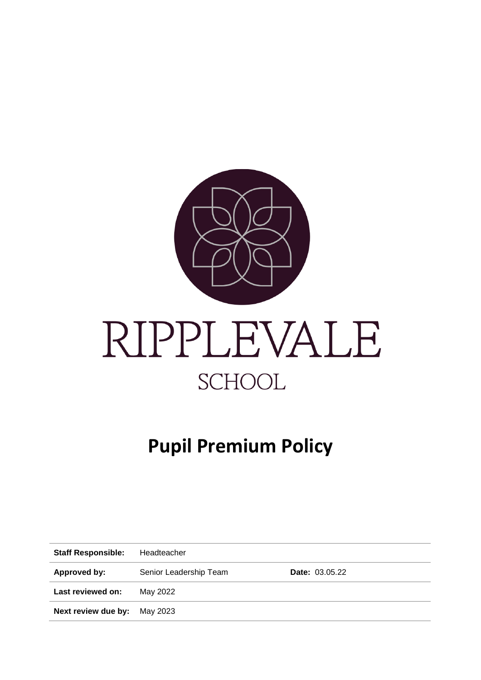

# **Pupil Premium Policy**

| <b>Staff Responsible:</b> | Headteacher            |                       |
|---------------------------|------------------------|-----------------------|
| Approved by:              | Senior Leadership Team | <b>Date: 03.05.22</b> |
| Last reviewed on:         | May 2022               |                       |
| Next review due by:       | May 2023               |                       |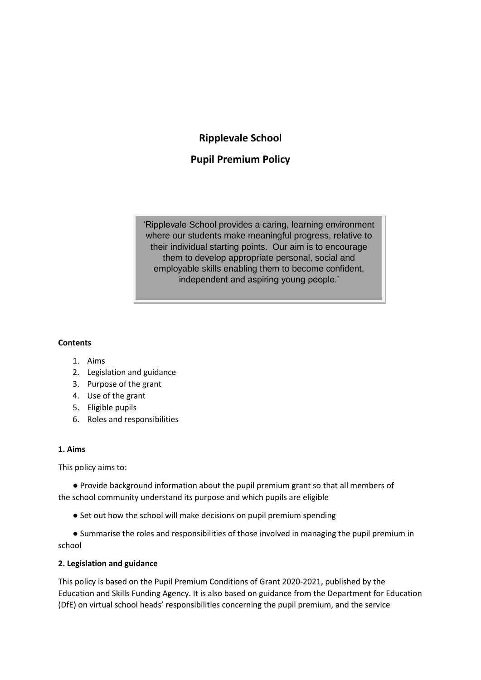# **Ripplevale School**

# **Pupil Premium Policy**

'Ripplevale School provides a caring, learning environment where our students make meaningful progress, relative to their individual starting points. Our aim is to encourage them to develop appropriate personal, social and employable skills enabling them to become confident, independent and aspiring young people.'

### **Contents**

- 1. Aims
- 2. Legislation and guidance
- 3. Purpose of the grant
- 4. Use of the grant
- 5. Eligible pupils
- 6. Roles and responsibilities

#### **1. Aims**

This policy aims to:

● Provide background information about the pupil premium grant so that all members of the school community understand its purpose and which pupils are eligible

● Set out how the school will make decisions on pupil premium spending

● Summarise the roles and responsibilities of those involved in managing the pupil premium in school

# **2. Legislation and guidance**

This policy is based on the Pupil Premium Conditions of Grant 2020-2021, published by the Education and Skills Funding Agency. It is also based on guidance from the Department for Education (DfE) on virtual school heads' responsibilities concerning the pupil premium, and the service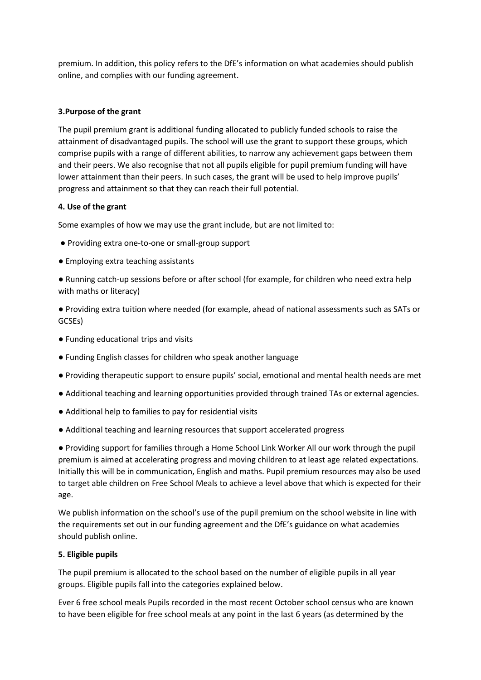premium. In addition, this policy refers to the DfE's information on what academies should publish online, and complies with our funding agreement.

#### **3.Purpose of the grant**

The pupil premium grant is additional funding allocated to publicly funded schools to raise the attainment of disadvantaged pupils. The school will use the grant to support these groups, which comprise pupils with a range of different abilities, to narrow any achievement gaps between them and their peers. We also recognise that not all pupils eligible for pupil premium funding will have lower attainment than their peers. In such cases, the grant will be used to help improve pupils' progress and attainment so that they can reach their full potential.

#### **4. Use of the grant**

Some examples of how we may use the grant include, but are not limited to:

- Providing extra one-to-one or small-group support
- Employing extra teaching assistants

● Running catch-up sessions before or after school (for example, for children who need extra help with maths or literacy)

- Providing extra tuition where needed (for example, ahead of national assessments such as SATs or GCSEs)
- Funding educational trips and visits
- Funding English classes for children who speak another language
- Providing therapeutic support to ensure pupils' social, emotional and mental health needs are met
- Additional teaching and learning opportunities provided through trained TAs or external agencies.
- Additional help to families to pay for residential visits
- Additional teaching and learning resources that support accelerated progress

● Providing support for families through a Home School Link Worker All our work through the pupil premium is aimed at accelerating progress and moving children to at least age related expectations. Initially this will be in communication, English and maths. Pupil premium resources may also be used to target able children on Free School Meals to achieve a level above that which is expected for their age.

We publish information on the school's use of the pupil premium on the school website in line with the requirements set out in our funding agreement and the DfE's guidance on what academies should publish online.

# **5. Eligible pupils**

The pupil premium is allocated to the school based on the number of eligible pupils in all year groups. Eligible pupils fall into the categories explained below.

Ever 6 free school meals Pupils recorded in the most recent October school census who are known to have been eligible for free school meals at any point in the last 6 years (as determined by the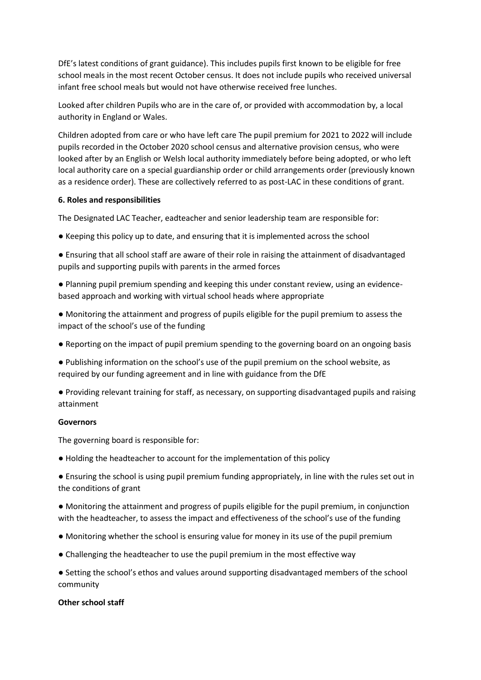DfE's latest conditions of grant guidance). This includes pupils first known to be eligible for free school meals in the most recent October census. It does not include pupils who received universal infant free school meals but would not have otherwise received free lunches.

Looked after children Pupils who are in the care of, or provided with accommodation by, a local authority in England or Wales.

Children adopted from care or who have left care The pupil premium for 2021 to 2022 will include pupils recorded in the October 2020 school census and alternative provision census, who were looked after by an English or Welsh local authority immediately before being adopted, or who left local authority care on a special guardianship order or child arrangements order (previously known as a residence order). These are collectively referred to as post-LAC in these conditions of grant.

#### **6. Roles and responsibilities**

The Designated LAC Teacher, eadteacher and senior leadership team are responsible for:

- Keeping this policy up to date, and ensuring that it is implemented across the school
- Ensuring that all school staff are aware of their role in raising the attainment of disadvantaged pupils and supporting pupils with parents in the armed forces

● Planning pupil premium spending and keeping this under constant review, using an evidencebased approach and working with virtual school heads where appropriate

- Monitoring the attainment and progress of pupils eligible for the pupil premium to assess the impact of the school's use of the funding
- Reporting on the impact of pupil premium spending to the governing board on an ongoing basis

● Publishing information on the school's use of the pupil premium on the school website, as required by our funding agreement and in line with guidance from the DfE

● Providing relevant training for staff, as necessary, on supporting disadvantaged pupils and raising attainment

#### **Governors**

The governing board is responsible for:

● Holding the headteacher to account for the implementation of this policy

● Ensuring the school is using pupil premium funding appropriately, in line with the rules set out in the conditions of grant

● Monitoring the attainment and progress of pupils eligible for the pupil premium, in conjunction with the headteacher, to assess the impact and effectiveness of the school's use of the funding

- Monitoring whether the school is ensuring value for money in its use of the pupil premium
- Challenging the headteacher to use the pupil premium in the most effective way

● Setting the school's ethos and values around supporting disadvantaged members of the school community

# **Other school staff**